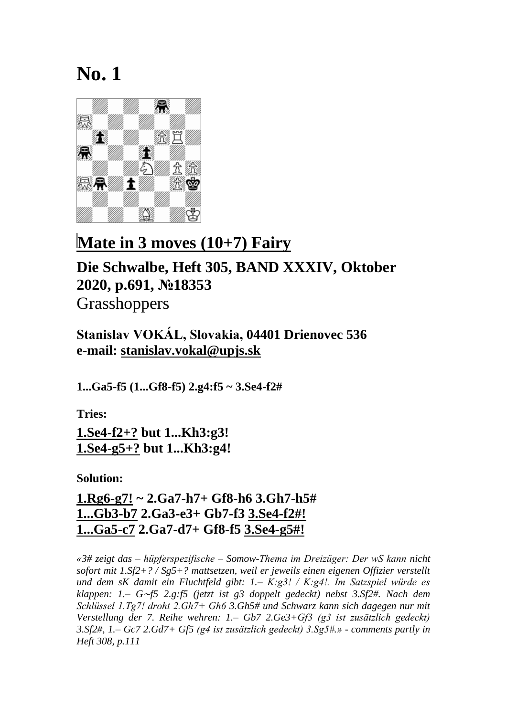

#### **Mate in 3 moves (10+7) Fairy**

#### **Die Schwalbe, Heft 305, BAND XXXIV, Oktober 2020, p.691, №18353** Grasshoppers

**Stanislav VOKÁL, Slovakia, 04401 Drienovec 536 e-mail: [stanislav.vokal@upjs.sk](mailto:stanislav.vokal@upjs.sk)**

**1...Ga5-f5 (1...Gf8-f5) 2.g4:f5 ~ 3.Se4-f2#**

**Tries:**

**1.Se4-f2+? but 1...Kh3:g3! 1.Se4-g5+? but 1...Kh3:g4!**

**Solution:**

**1.Rg6-g7! ~ 2.Ga7-h7+ Gf8-h6 3.Gh7-h5# 1...Gb3-b7 2.Ga3-e3+ Gb7-f3 3.Se4-f2#! 1...Ga5-c7 2.Ga7-d7+ Gf8-f5 3.Se4-g5#!**

*«3# zeigt das – hüpferspezifische – Somow-Thema im Dreizüger: Der wS kann nicht sofort mit 1.Sf2+? / Sg5+? mattsetzen, weil er jeweils einen eigenen Offizier verstellt und dem sK damit ein Fluchtfeld gibt: 1.– K:g3! / K:g4!. Im Satzspiel würde es klappen: 1.– G*∼*f5 2.g:f5 (jetzt ist g3 doppelt gedeckt) nebst 3.Sf2#. Nach dem Schlüssel 1.Tg7! droht 2.Gh7+ Gh6 3.Gh5# und Schwarz kann sich dagegen nur mit Verstellung der 7. Reihe wehren: 1.– Gb7 2.Ge3+Gf3 (g3 ist zusätzlich gedeckt) 3.Sf2#, 1.– Gc7 2.Gd7+ Gf5 (g4 ist zusätzlich gedeckt) 3.Sg5#.» - comments partly in Heft 308, p.111*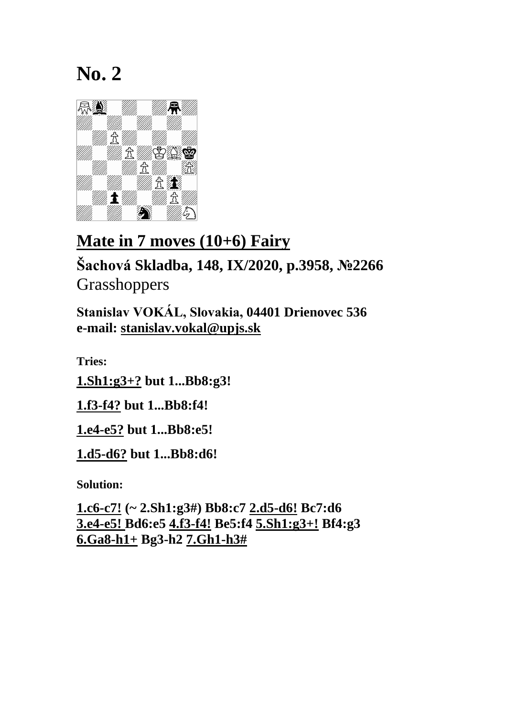

### **Mate in 7 moves (10+6) Fairy**

**Šachová Skladba, 148, IX/2020, p.3958, №2266 Grasshoppers** 

**Stanislav VOKÁL, Slovakia, 04401 Drienovec 536 e-mail: [stanislav.vokal@upjs.sk](mailto:stanislav.vokal@upjs.sk)**

**Tries:**

**1.Sh1:g3+? but 1...Bb8:g3!**

**1.f3-f4? but 1...Bb8:f4!**

**1.e4-e5? but 1...Bb8:e5!**

**1.d5-d6? but 1...Bb8:d6!**

**Solution:**

**1.c6-c7! (~ 2.Sh1:g3#) Bb8:c7 2.d5-d6! Bc7:d6 3.e4-e5! Bd6:e5 4.f3-f4! Be5:f4 5.Sh1:g3+! Bf4:g3 6.Ga8-h1+ Bg3-h2 7.Gh1-h3#**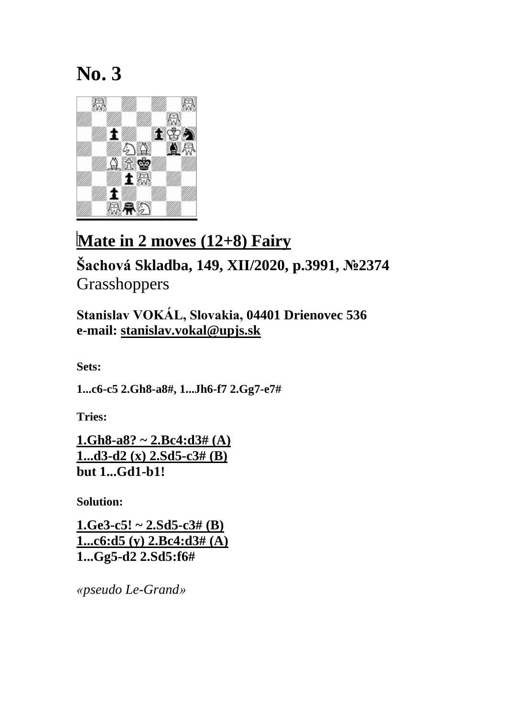

# **Mate in 2 moves (12+8) Fairy**

# **Šachová Skladba, 149, XII/2020, p.3991, №2374** Grasshoppers

**Stanislav VOKÁL, Slovakia, 04401 Drienovec 536 e-mail: [stanislav.vokal@upjs.sk](mailto:stanislav.vokal@upjs.sk)**

**Sets:**

**1...c6-c5 2.Gh8-a8#, 1...Jh6-f7 2.Gg7-e7#**

**Tries:**

**1.Gh8-a8? ~ 2.Bc4:d3# (A) 1...d3-d2 (x) 2.Sd5-c3# (B) but 1...Gd1-b1!**

**Solution:**

**1.Ge3-c5! ~ 2.Sd5-c3# (B) 1...c6:d5 (y) 2.Bc4:d3# (A) 1...Gg5-d2 2.Sd5:f6#**

*«pseudo Le-Grand»*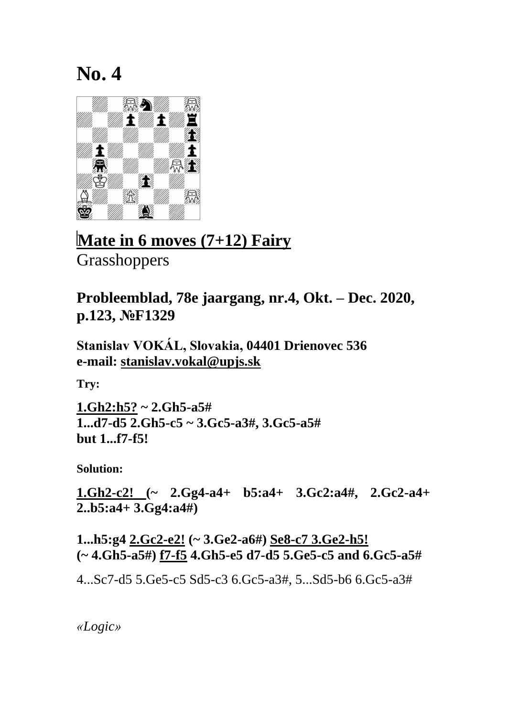

**Mate in 6 moves (7+12) Fairy Grasshoppers** 

**Probleemblad, 78e jaargang, nr.4, Okt. – Dec. 2020, p.123, №F1329**

**Stanislav VOKÁL, Slovakia, 04401 Drienovec 536 e-mail: [stanislav.vokal@upjs.sk](mailto:stanislav.vokal@upjs.sk)**

**Try:**

**1.Gh2:h5? ~ 2.Gh5-a5# 1...d7-d5 2.Gh5-c5 ~ 3.Gc5-a3#, 3.Gc5-a5# but 1...f7-f5!**

**Solution:**

**1.Gh2-c2! (~ 2.Gg4-a4+ b5:a4+ 3.Gc2:a4#, 2.Gc2-a4+ 2..b5:a4+ 3.Gg4:a4#)** 

**1...h5:g4 2.Gc2-e2! (~ 3.Ge2-a6#) Se8-c7 3.Ge2-h5! (~ 4.Gh5-a5#) f7-f5 4.Gh5-e5 d7-d5 5.Ge5-c5 and 6.Gc5-a5#**

4...Sc7-d5 5.Ge5-c5 Sd5-c3 6.Gc5-a3#, 5...Sd5-b6 6.Gc5-a3#

*«Logic»*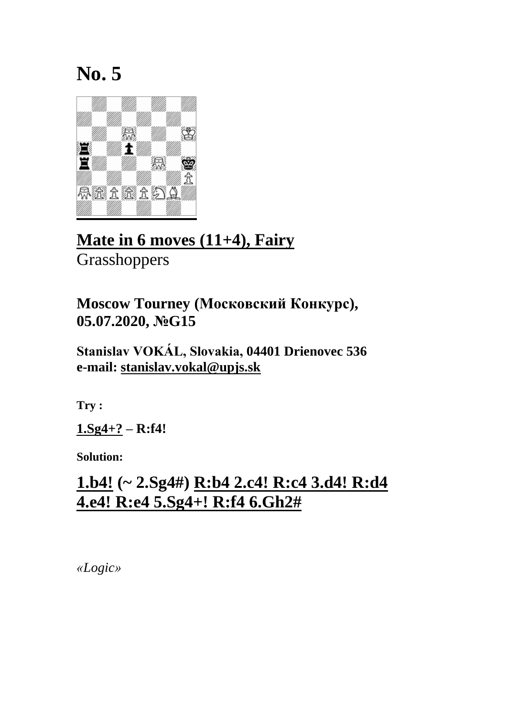

### **Mate in 6 moves (11+4), Fairy Grasshoppers**

**Moscow Tourney (Московский Конкурс), 05.07.2020, №G15**

**Stanislav VOKÁL, Slovakia, 04401 Drienovec 536 e-mail: [stanislav.vokal@upjs.sk](mailto:stanislav.vokal@upjs.sk)**

**Try :**

**1.Sg4+? – R:f4!**

**Solution:**

# **1.b4! (~ 2.Sg4#) R:b4 2.c4! R:c4 3.d4! R:d4 4.e4! R:e4 5.Sg4+! R:f4 6.Gh2#**

*«Logic»*